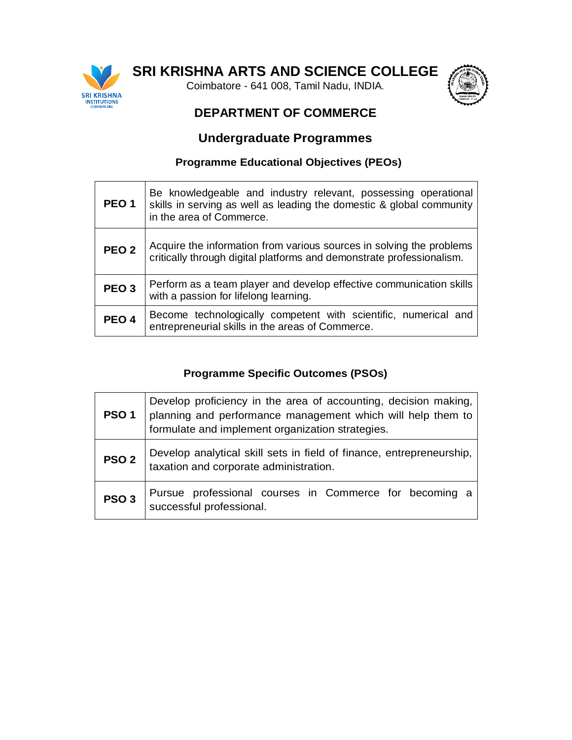

Coimbatore - 641 008, Tamil Nadu, INDIA.



# **DEPARTMENT OF COMMERCE**

## **Undergraduate Programmes**

#### **Programme Educational Objectives (PEOs)**

| PEO <sub>1</sub> | Be knowledgeable and industry relevant, possessing operational<br>skills in serving as well as leading the domestic & global community<br>in the area of Commerce. |
|------------------|--------------------------------------------------------------------------------------------------------------------------------------------------------------------|
| PEO <sub>2</sub> | Acquire the information from various sources in solving the problems<br>critically through digital platforms and demonstrate professionalism.                      |
| PEO <sub>3</sub> | Perform as a team player and develop effective communication skills<br>with a passion for lifelong learning.                                                       |
| PEO <sub>4</sub> | Become technologically competent with scientific, numerical and<br>entrepreneurial skills in the areas of Commerce.                                                |

| <b>PSO1</b>      | Develop proficiency in the area of accounting, decision making,<br>planning and performance management which will help them to<br>formulate and implement organization strategies. |
|------------------|------------------------------------------------------------------------------------------------------------------------------------------------------------------------------------|
| PSO <sub>2</sub> | Develop analytical skill sets in field of finance, entrepreneurship,<br>taxation and corporate administration.                                                                     |
| PSO <sub>3</sub> | Pursue professional courses in Commerce for becoming a<br>successful professional.                                                                                                 |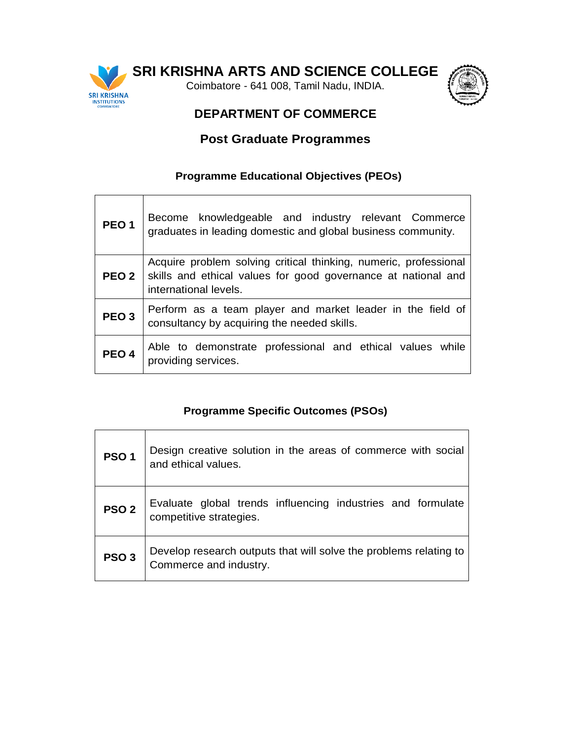

Г

Τ

**SRI KRISHNA ARTS AND SCIENCE COLLEGE**

Coimbatore - 641 008, Tamil Nadu, INDIA.



٦

# **DEPARTMENT OF COMMERCE**

## **Post Graduate Programmes**

#### **Programme Educational Objectives (PEOs)**

| PEO <sub>1</sub> | Become knowledgeable and industry relevant Commerce<br>graduates in leading domestic and global business community.                                        |
|------------------|------------------------------------------------------------------------------------------------------------------------------------------------------------|
| <b>PEO 2</b>     | Acquire problem solving critical thinking, numeric, professional<br>skills and ethical values for good governance at national and<br>international levels. |
| PEO <sub>3</sub> | Perform as a team player and market leader in the field of<br>consultancy by acquiring the needed skills.                                                  |
| PEO <sub>4</sub> | Able to demonstrate professional and ethical values while<br>providing services.                                                                           |

| PSO <sub>1</sub> | Design creative solution in the areas of commerce with social<br>and ethical values.        |
|------------------|---------------------------------------------------------------------------------------------|
| PSO <sub>2</sub> | Evaluate global trends influencing industries and formulate<br>competitive strategies.      |
| PSO <sub>3</sub> | Develop research outputs that will solve the problems relating to<br>Commerce and industry. |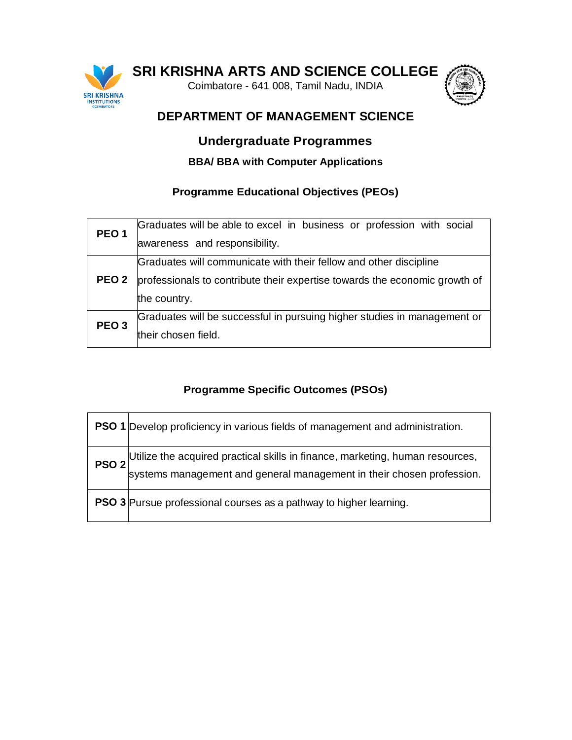

Coimbatore - 641 008, Tamil Nadu, INDIA



## **DEPARTMENT OF MANAGEMENT SCIENCE**

## **Undergraduate Programmes**

### **BBA/ BBA with Computer Applications**

### **Programme Educational Objectives (PEOs)**

| PEO <sub>1</sub> | Graduates will be able to excel in business or profession with social      |
|------------------|----------------------------------------------------------------------------|
|                  | awareness and responsibility.                                              |
| <b>PEO 2</b>     | Graduates will communicate with their fellow and other discipline          |
|                  | professionals to contribute their expertise towards the economic growth of |
|                  | the country.                                                               |
| PEO <sub>3</sub> | Graduates will be successful in pursuing higher studies in management or   |
|                  | their chosen field.                                                        |

|                  | <b>PSO 1</b> Develop proficiency in various fields of management and administration.                                                                   |
|------------------|--------------------------------------------------------------------------------------------------------------------------------------------------------|
| PSO <sub>2</sub> | Utilize the acquired practical skills in finance, marketing, human resources,<br>systems management and general management in their chosen profession. |
|                  | <b>PSO 3</b> Pursue professional courses as a pathway to higher learning.                                                                              |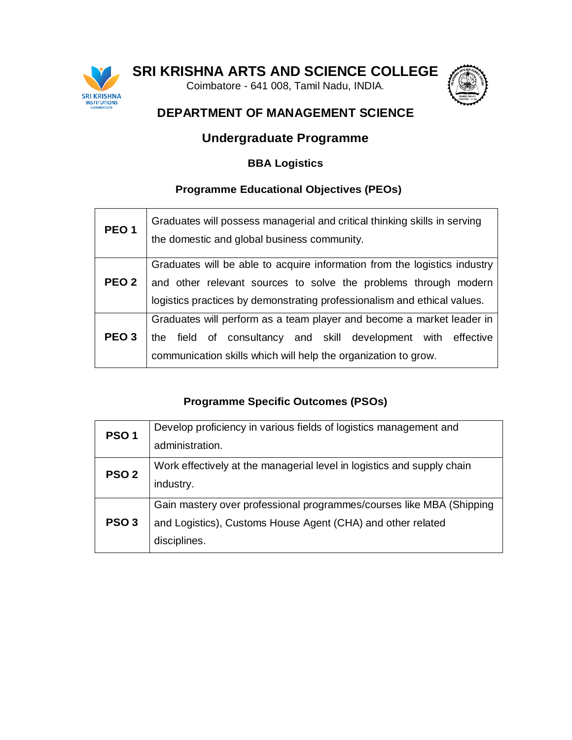

Coimbatore - 641 008, Tamil Nadu, INDIA.



## **DEPARTMENT OF MANAGEMENT SCIENCE**

## **Undergraduate Programme**

#### **BBA Logistics**

### **Programme Educational Objectives (PEOs)**

| PEO <sub>1</sub> | Graduates will possess managerial and critical thinking skills in serving<br>the domestic and global business community.                                                                                                 |
|------------------|--------------------------------------------------------------------------------------------------------------------------------------------------------------------------------------------------------------------------|
| PEO <sub>2</sub> | Graduates will be able to acquire information from the logistics industry<br>and other relevant sources to solve the problems through modern<br>logistics practices by demonstrating professionalism and ethical values. |
| PEO <sub>3</sub> | Graduates will perform as a team player and become a market leader in<br>field of consultancy and skill development with effective<br>the<br>communication skills which will help the organization to grow.              |

| PSO <sub>1</sub> | Develop proficiency in various fields of logistics management and<br>administration.                                                                |
|------------------|-----------------------------------------------------------------------------------------------------------------------------------------------------|
| PSO <sub>2</sub> | Work effectively at the managerial level in logistics and supply chain<br>industry.                                                                 |
| PSO 3            | Gain mastery over professional programmes/courses like MBA (Shipping<br>and Logistics), Customs House Agent (CHA) and other related<br>disciplines. |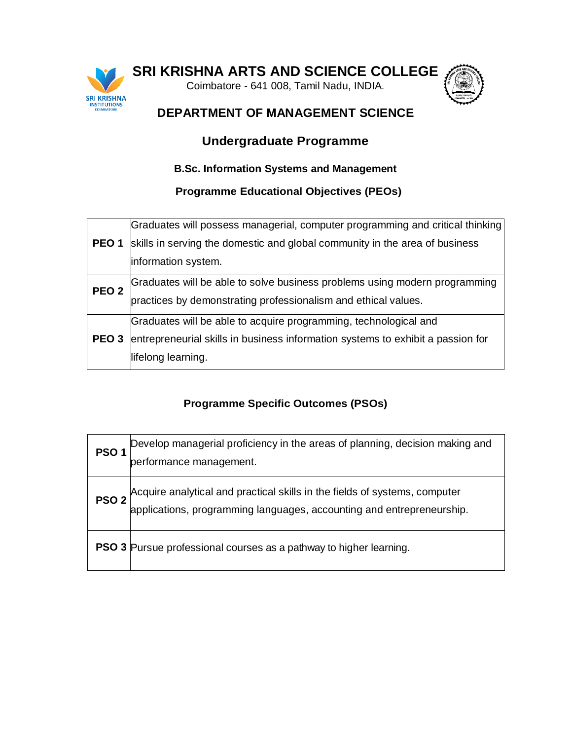

Coimbatore - 641 008, Tamil Nadu, INDIA.



## **DEPARTMENT OF MANAGEMENT SCIENCE**

# **Undergraduate Programme**

#### **B.Sc. Information Systems and Management**

## **Programme Educational Objectives (PEOs)**

| PEO <sub>1</sub> | Graduates will possess managerial, computer programming and critical thinking   |
|------------------|---------------------------------------------------------------------------------|
|                  | skills in serving the domestic and global community in the area of business     |
|                  | information system.                                                             |
| PEO <sub>2</sub> | Graduates will be able to solve business problems using modern programming      |
|                  | practices by demonstrating professionalism and ethical values.                  |
| PEO <sub>3</sub> | Graduates will be able to acquire programming, technological and                |
|                  | entrepreneurial skills in business information systems to exhibit a passion for |
|                  | lifelong learning.                                                              |
|                  |                                                                                 |

| PSO <sub>1</sub> | Develop managerial proficiency in the areas of planning, decision making and<br>performance management.                                             |
|------------------|-----------------------------------------------------------------------------------------------------------------------------------------------------|
| PSO <sub>2</sub> | Acquire analytical and practical skills in the fields of systems, computer<br>applications, programming languages, accounting and entrepreneurship. |
|                  | <b>PSO 3</b> Pursue professional courses as a pathway to higher learning.                                                                           |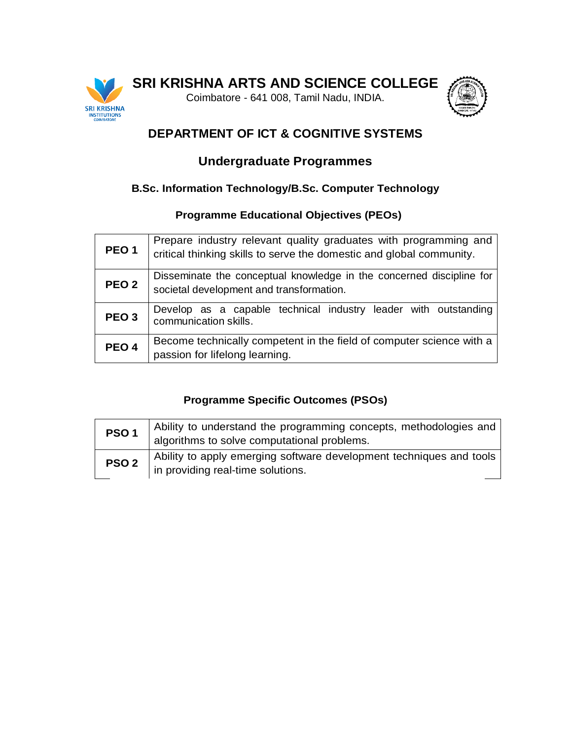

Coimbatore - 641 008, Tamil Nadu, INDIA.



# **DEPARTMENT OF ICT & COGNITIVE SYSTEMS**

# **Undergraduate Programmes**

### **B.Sc. Information Technology/B.Sc. Computer Technology**

#### **Programme Educational Objectives (PEOs)**

| PEO <sub>1</sub> | Prepare industry relevant quality graduates with programming and<br>critical thinking skills to serve the domestic and global community. |
|------------------|------------------------------------------------------------------------------------------------------------------------------------------|
| PEO <sub>2</sub> | Disseminate the conceptual knowledge in the concerned discipline for<br>societal development and transformation.                         |
| PEO <sub>3</sub> | Develop as a capable technical industry leader with outstanding<br>communication skills.                                                 |
| PEO <sub>4</sub> | Become technically competent in the field of computer science with a<br>passion for lifelong learning.                                   |

| PSO <sub>1</sub> | Ability to understand the programming concepts, methodologies and<br>algorithms to solve computational problems. |
|------------------|------------------------------------------------------------------------------------------------------------------|
| PSO <sub>2</sub> | Ability to apply emerging software development techniques and tools<br>in providing real-time solutions.         |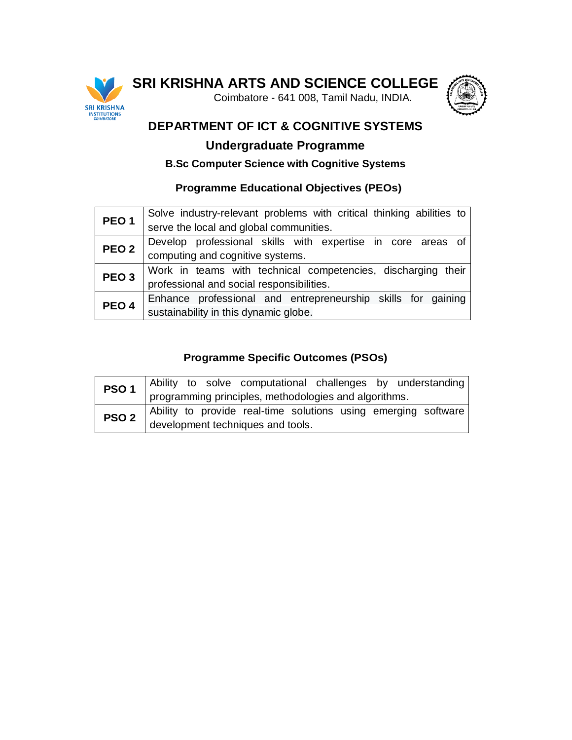

Coimbatore - 641 008, Tamil Nadu, INDIA.



# **DEPARTMENT OF ICT & COGNITIVE SYSTEMS**

## **Undergraduate Programme**

#### **B.Sc Computer Science with Cognitive Systems**

#### **Programme Educational Objectives (PEOs)**

| PEO <sub>1</sub> | Solve industry-relevant problems with critical thinking abilities to |
|------------------|----------------------------------------------------------------------|
|                  | serve the local and global communities.                              |
| PEO <sub>2</sub> | Develop professional skills with expertise in core areas of          |
|                  | computing and cognitive systems.                                     |
| PEO <sub>3</sub> | Work in teams with technical competencies, discharging their         |
|                  | professional and social responsibilities.                            |
| PEO <sub>4</sub> | Enhance professional and entrepreneurship skills for gaining         |
|                  | sustainability in this dynamic globe.                                |

| PSO <sub>1</sub> |                                                       |  |  | Ability to solve computational challenges by understanding     |  |  |  |  |  |  |
|------------------|-------------------------------------------------------|--|--|----------------------------------------------------------------|--|--|--|--|--|--|
|                  | programming principles, methodologies and algorithms. |  |  |                                                                |  |  |  |  |  |  |
| PSO <sub>2</sub> |                                                       |  |  | Ability to provide real-time solutions using emerging software |  |  |  |  |  |  |
|                  | development techniques and tools.                     |  |  |                                                                |  |  |  |  |  |  |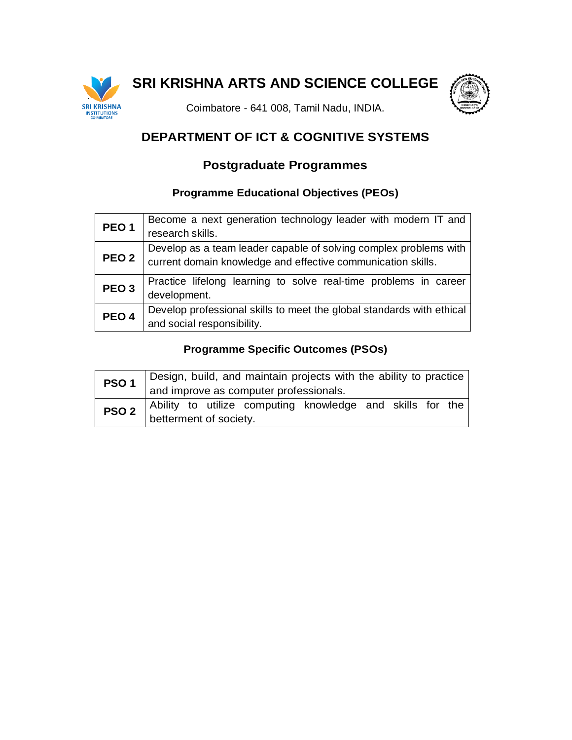



Coimbatore - 641 008, Tamil Nadu, INDIA.

# **DEPARTMENT OF ICT & COGNITIVE SYSTEMS**

# **Postgraduate Programmes**

## **Programme Educational Objectives (PEOs)**

| PEO <sub>1</sub> | Become a next generation technology leader with modern IT and<br>research skills.                                                 |
|------------------|-----------------------------------------------------------------------------------------------------------------------------------|
| PEO <sub>2</sub> | Develop as a team leader capable of solving complex problems with<br>current domain knowledge and effective communication skills. |
| PEO <sub>3</sub> | Practice lifelong learning to solve real-time problems in career<br>development.                                                  |
| PEO <sub>4</sub> | Develop professional skills to meet the global standards with ethical<br>and social responsibility.                               |

|  |  | <b>PSO 1</b> Design, build, and maintain projects with the ability to practice and improve as computer professionals. |  |  |
|--|--|-----------------------------------------------------------------------------------------------------------------------|--|--|
|  |  | PSO 2 Ability to utilize computing knowledge and skills for the betterment of society.                                |  |  |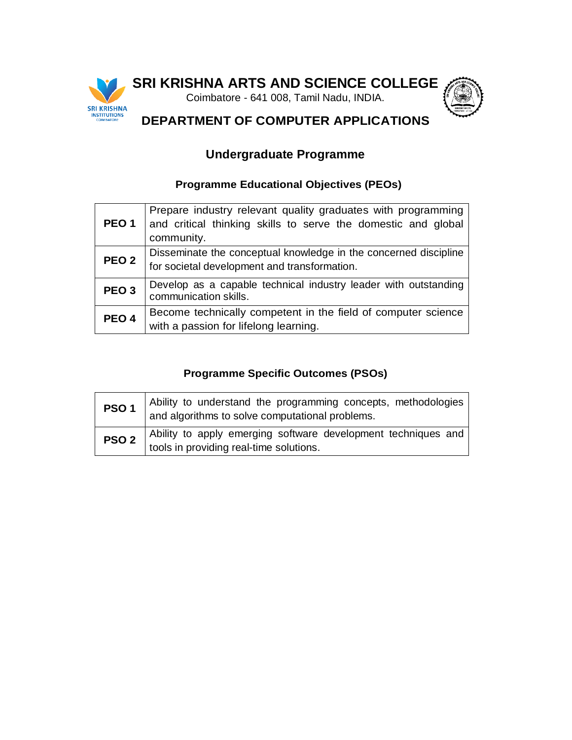

Coimbatore - 641 008, Tamil Nadu, INDIA.



# **DEPARTMENT OF COMPUTER APPLICATIONS**

# **Undergraduate Programme**

#### **Programme Educational Objectives (PEOs)**

| PEO <sub>1</sub> | Prepare industry relevant quality graduates with programming<br>and critical thinking skills to serve the domestic and global<br>community. |
|------------------|---------------------------------------------------------------------------------------------------------------------------------------------|
| PEO <sub>2</sub> | Disseminate the conceptual knowledge in the concerned discipline<br>for societal development and transformation.                            |
| PEO <sub>3</sub> | Develop as a capable technical industry leader with outstanding<br>communication skills.                                                    |
| PEO <sub>4</sub> | Become technically competent in the field of computer science<br>with a passion for lifelong learning.                                      |

| PSO <sub>1</sub> | Ability to understand the programming concepts, methodologies<br>and algorithms to solve computational problems. |
|------------------|------------------------------------------------------------------------------------------------------------------|
| PSO <sub>2</sub> | Ability to apply emerging software development techniques and<br>tools in providing real-time solutions.         |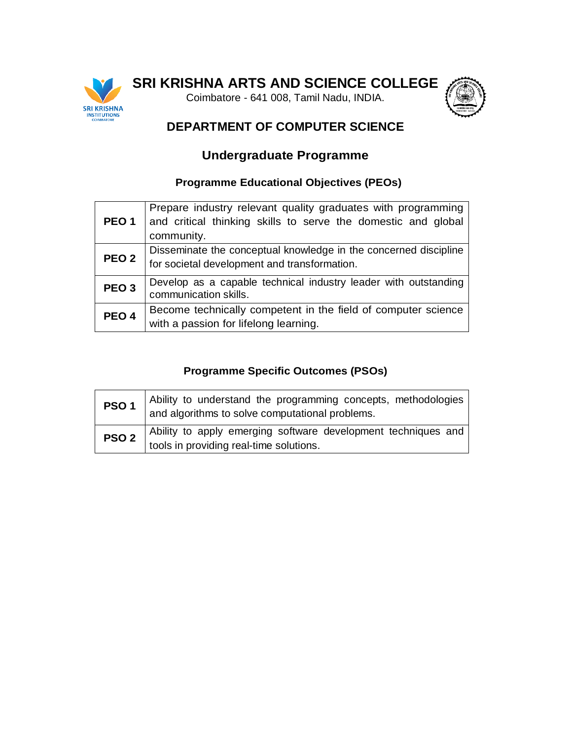

Coimbatore - 641 008, Tamil Nadu, INDIA.



# **DEPARTMENT OF COMPUTER SCIENCE**

# **Undergraduate Programme**

### **Programme Educational Objectives (PEOs)**

| PEO <sub>1</sub> | Prepare industry relevant quality graduates with programming<br>and critical thinking skills to serve the domestic and global<br>community. |
|------------------|---------------------------------------------------------------------------------------------------------------------------------------------|
| PEO <sub>2</sub> | Disseminate the conceptual knowledge in the concerned discipline<br>for societal development and transformation.                            |
| PEO <sub>3</sub> | Develop as a capable technical industry leader with outstanding<br>communication skills.                                                    |
| PEO <sub>4</sub> | Become technically competent in the field of computer science<br>with a passion for lifelong learning.                                      |

| PSO <sub>1</sub> | Ability to understand the programming concepts, methodologies and algorithms to solve computational problems. |
|------------------|---------------------------------------------------------------------------------------------------------------|
| PSO <sub>2</sub> | Ability to apply emerging software development techniques and<br>tools in providing real-time solutions.      |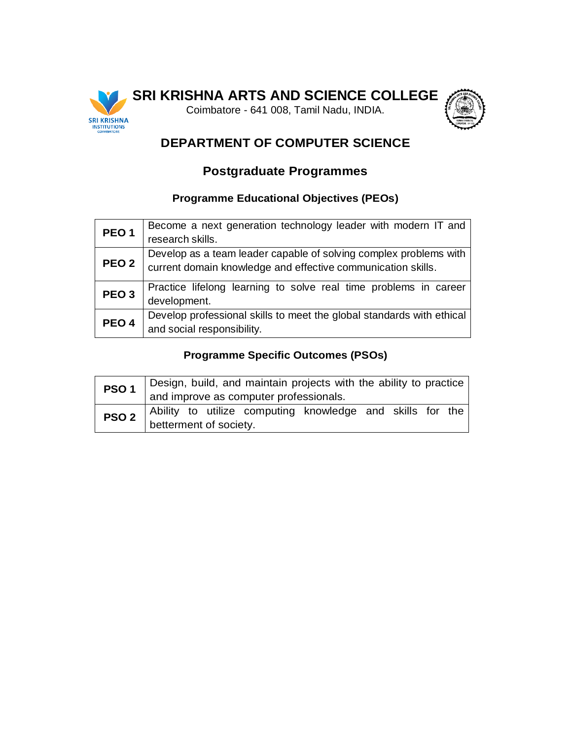

Coimbatore - 641 008, Tamil Nadu, INDIA.



# **DEPARTMENT OF COMPUTER SCIENCE**

# **Postgraduate Programmes**

## **Programme Educational Objectives (PEOs)**

| PEO <sub>1</sub> | Become a next generation technology leader with modern IT and<br>research skills.                                                 |
|------------------|-----------------------------------------------------------------------------------------------------------------------------------|
| PEO <sub>2</sub> | Develop as a team leader capable of solving complex problems with<br>current domain knowledge and effective communication skills. |
| PEO <sub>3</sub> | Practice lifelong learning to solve real time problems in career<br>development.                                                  |
| PEO <sub>4</sub> | Develop professional skills to meet the global standards with ethical<br>and social responsibility.                               |

| PSO <sub>1</sub> |                        |  | and improve as computer professionals. | Design, build, and maintain projects with the ability to practice |  |  |
|------------------|------------------------|--|----------------------------------------|-------------------------------------------------------------------|--|--|
| PSO <sub>2</sub> | betterment of society. |  |                                        | Ability to utilize computing knowledge and skills for the         |  |  |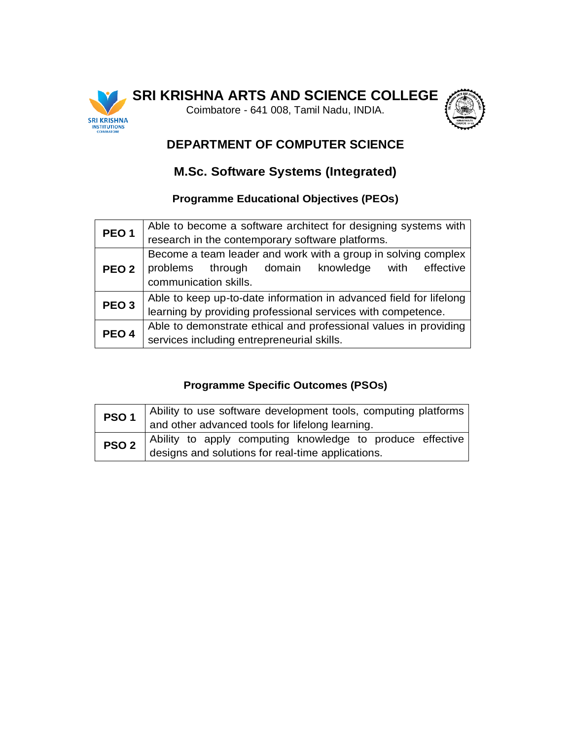

Coimbatore - 641 008, Tamil Nadu, INDIA.



# **DEPARTMENT OF COMPUTER SCIENCE**

# **M.Sc. Software Systems (Integrated)**

#### **Programme Educational Objectives (PEOs)**

| PEO <sub>1</sub> | Able to become a software architect for designing systems with     |
|------------------|--------------------------------------------------------------------|
|                  | research in the contemporary software platforms.                   |
|                  | Become a team leader and work with a group in solving complex      |
| PEO <sub>2</sub> | problems through domain knowledge with effective                   |
|                  | communication skills.                                              |
| PEO <sub>3</sub> | Able to keep up-to-date information in advanced field for lifelong |
|                  | learning by providing professional services with competence.       |
| PEO <sub>4</sub> | Able to demonstrate ethical and professional values in providing   |
|                  | services including entrepreneurial skills.                         |

| PSO <sub>1</sub> | Ability to use software development tools, computing platforms<br>and other advanced tools for lifelong learning. |  |  |  |  |  |  |
|------------------|-------------------------------------------------------------------------------------------------------------------|--|--|--|--|--|--|
|                  |                                                                                                                   |  |  |  |  |  |  |
| PSO <sub>2</sub> |                                                                                                                   |  |  |  |  |  |  |
|                  | Ability to apply computing knowledge to produce effective designs and solutions for real-time applications.       |  |  |  |  |  |  |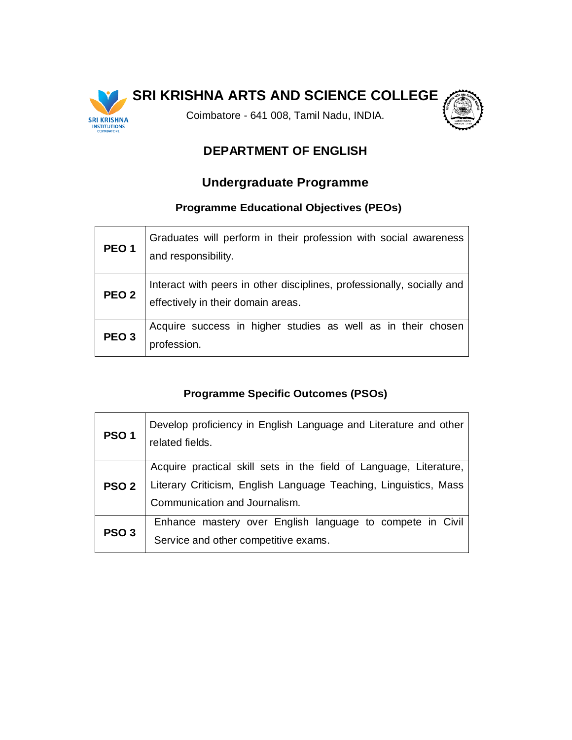

Coimbatore - 641 008, Tamil Nadu, INDIA.



# **DEPARTMENT OF ENGLISH**

# **Undergraduate Programme**

## **Programme Educational Objectives (PEOs)**

| PEO <sub>1</sub> | Graduates will perform in their profession with social awareness<br>and responsibility.                      |
|------------------|--------------------------------------------------------------------------------------------------------------|
| PEO <sub>2</sub> | Interact with peers in other disciplines, professionally, socially and<br>effectively in their domain areas. |
| PEO <sub>3</sub> | Acquire success in higher studies as well as in their chosen<br>profession.                                  |

| PSO <sub>1</sub> | Develop proficiency in English Language and Literature and other<br>related fields.                                                                                     |
|------------------|-------------------------------------------------------------------------------------------------------------------------------------------------------------------------|
| PSO <sub>2</sub> | Acquire practical skill sets in the field of Language, Literature,<br>Literary Criticism, English Language Teaching, Linguistics, Mass<br>Communication and Journalism. |
| PSO <sub>3</sub> | Enhance mastery over English language to compete in Civil<br>Service and other competitive exams.                                                                       |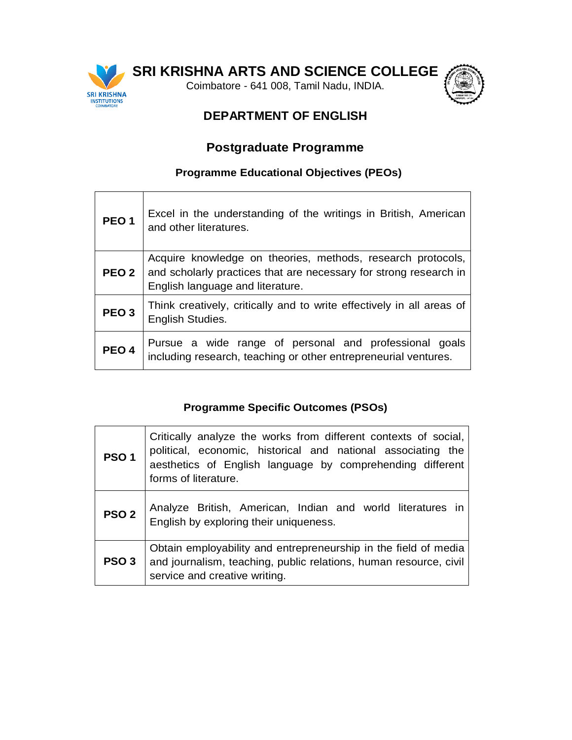

Coimbatore - 641 008, Tamil Nadu, INDIA.



# **DEPARTMENT OF ENGLISH**

# **Postgraduate Programme**

## **Programme Educational Objectives (PEOs)**

| PEO <sub>1</sub> | Excel in the understanding of the writings in British, American<br>and other literatures.                                                                                         |
|------------------|-----------------------------------------------------------------------------------------------------------------------------------------------------------------------------------|
|                  | Acquire knowledge on theories, methods, research protocols,<br><b>PEO 2</b> and scholarly practices that are necessary for strong research in<br>English language and literature. |
| PEO <sub>3</sub> | Think creatively, critically and to write effectively in all areas of<br>English Studies.                                                                                         |
| PEO <sub>4</sub> | Pursue a wide range of personal and professional goals<br>including research, teaching or other entrepreneurial ventures.                                                         |

| PSO <sub>1</sub> | Critically analyze the works from different contexts of social,<br>political, economic, historical and national associating the<br>aesthetics of English language by comprehending different<br>forms of literature. |
|------------------|----------------------------------------------------------------------------------------------------------------------------------------------------------------------------------------------------------------------|
| PSO <sub>2</sub> | Analyze British, American, Indian and world literatures in<br>English by exploring their uniqueness.                                                                                                                 |
| <b>PSO 3</b>     | Obtain employability and entrepreneurship in the field of media<br>and journalism, teaching, public relations, human resource, civil<br>service and creative writing.                                                |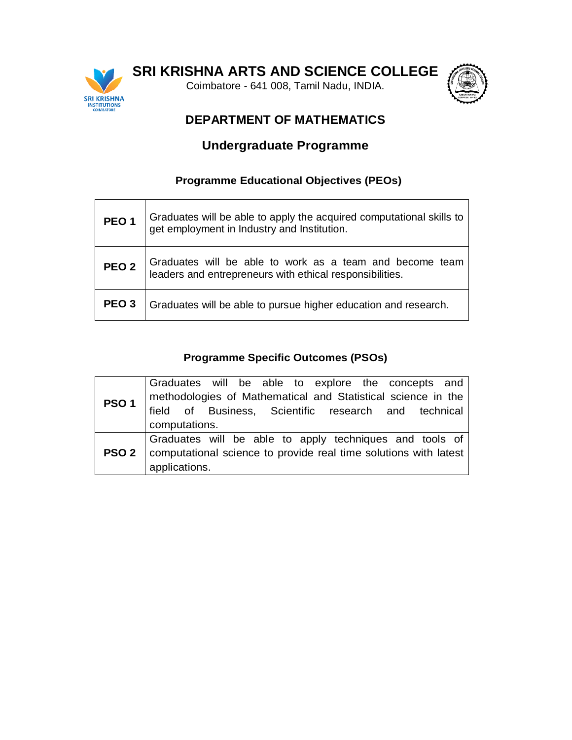

Coimbatore - 641 008, Tamil Nadu, INDIA.



# **DEPARTMENT OF MATHEMATICS**

# **Undergraduate Programme**

#### **Programme Educational Objectives (PEOs)**

| PEO <sub>1</sub> | Graduates will be able to apply the acquired computational skills to<br>get employment in Industry and Institution.  |
|------------------|----------------------------------------------------------------------------------------------------------------------|
| PEO <sub>2</sub> | Graduates will be able to work as a team and become team<br>leaders and entrepreneurs with ethical responsibilities. |
| PEO <sub>3</sub> | Graduates will be able to pursue higher education and research.                                                      |

| PSO <sub>1</sub> | Graduates will be able to explore the concepts and<br>methodologies of Mathematical and Statistical science in the<br>field of Business, Scientific research and technical<br>computations. |
|------------------|---------------------------------------------------------------------------------------------------------------------------------------------------------------------------------------------|
| <b>PSO 2</b>     | Graduates will be able to apply techniques and tools of<br>computational science to provide real time solutions with latest<br>applications.                                                |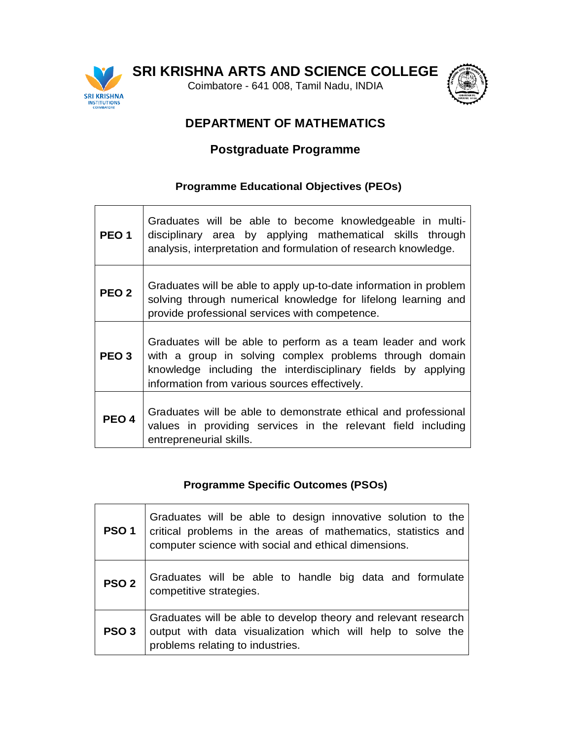

Coimbatore - 641 008, Tamil Nadu, INDIA



# **DEPARTMENT OF MATHEMATICS**

# **Postgraduate Programme**

#### **Programme Educational Objectives (PEOs)**

| PEO <sub>1</sub> | Graduates will be able to become knowledgeable in multi-<br>disciplinary area by applying mathematical skills through<br>analysis, interpretation and formulation of research knowledge.                                                |
|------------------|-----------------------------------------------------------------------------------------------------------------------------------------------------------------------------------------------------------------------------------------|
| PEO <sub>2</sub> | Graduates will be able to apply up-to-date information in problem<br>solving through numerical knowledge for lifelong learning and<br>provide professional services with competence.                                                    |
| PEO <sub>3</sub> | Graduates will be able to perform as a team leader and work<br>with a group in solving complex problems through domain<br>knowledge including the interdisciplinary fields by applying<br>information from various sources effectively. |
| PEO <sub>4</sub> | Graduates will be able to demonstrate ethical and professional<br>values in providing services in the relevant field including<br>entrepreneurial skills.                                                                               |

| PSO <sub>1</sub> | Graduates will be able to design innovative solution to the<br>critical problems in the areas of mathematics, statistics and<br>computer science with social and ethical dimensions. |
|------------------|--------------------------------------------------------------------------------------------------------------------------------------------------------------------------------------|
| PSO <sub>2</sub> | Graduates will be able to handle big data and formulate<br>competitive strategies.                                                                                                   |
| PSO <sub>3</sub> | Graduates will be able to develop theory and relevant research<br>output with data visualization which will help to solve the<br>problems relating to industries.                    |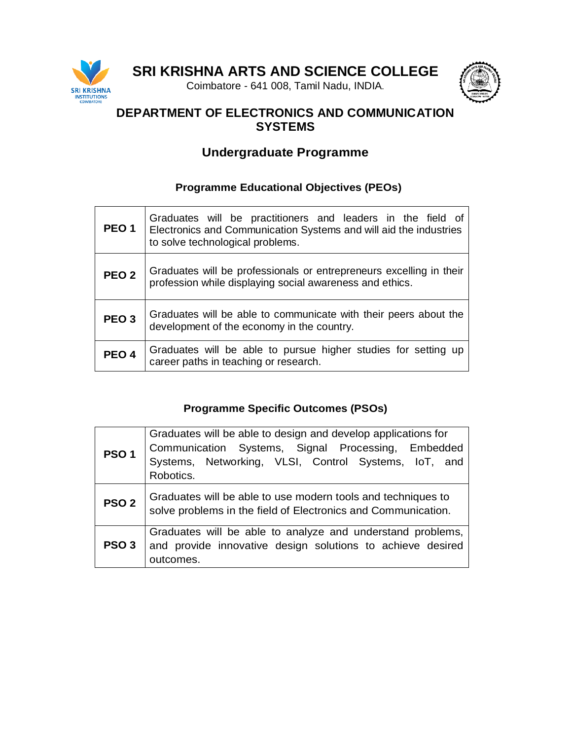

Coimbatore - 641 008, Tamil Nadu, INDIA.



## **DEPARTMENT OF ELECTRONICS AND COMMUNICATION SYSTEMS**

## **Undergraduate Programme**

## **Programme Educational Objectives (PEOs)**

| PEO <sub>1</sub> | Graduates will be practitioners and leaders in the field of<br>Electronics and Communication Systems and will aid the industries<br>to solve technological problems. |
|------------------|----------------------------------------------------------------------------------------------------------------------------------------------------------------------|
| PEO <sub>2</sub> | Graduates will be professionals or entrepreneurs excelling in their<br>profession while displaying social awareness and ethics.                                      |
| PEO <sub>3</sub> | Graduates will be able to communicate with their peers about the<br>development of the economy in the country.                                                       |
| PEO <sub>4</sub> | Graduates will be able to pursue higher studies for setting up<br>career paths in teaching or research.                                                              |

| PSO <sub>1</sub> | Graduates will be able to design and develop applications for<br>Communication Systems, Signal Processing, Embedded<br>Systems, Networking, VLSI, Control Systems, IoT, and<br>Robotics. |
|------------------|------------------------------------------------------------------------------------------------------------------------------------------------------------------------------------------|
| PSO <sub>2</sub> | Graduates will be able to use modern tools and techniques to<br>solve problems in the field of Electronics and Communication.                                                            |
| PSO <sub>3</sub> | Graduates will be able to analyze and understand problems,<br>and provide innovative design solutions to achieve desired<br>outcomes.                                                    |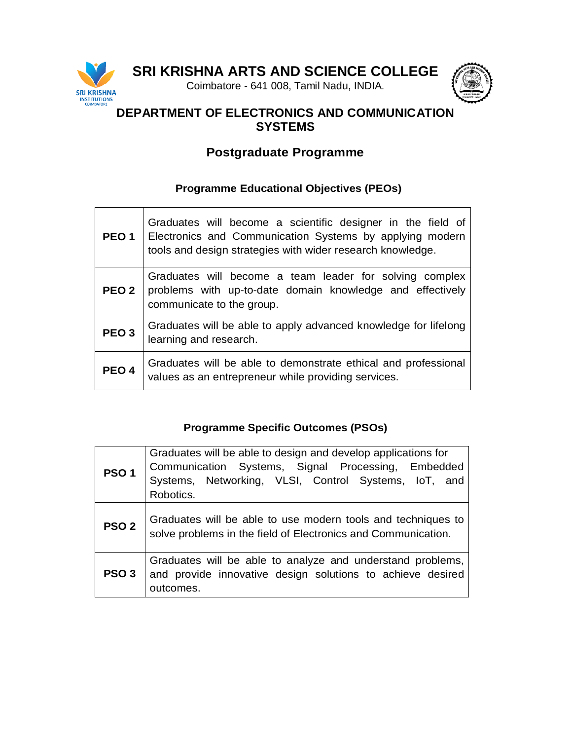

Coimbatore - 641 008, Tamil Nadu, INDIA.



## **DEPARTMENT OF ELECTRONICS AND COMMUNICATION SYSTEMS**

# **Postgraduate Programme**

## **Programme Educational Objectives (PEOs)**

|                  | Graduates will become a scientific designer in the field of<br><b>PEO 1</b>   Electronics and Communication Systems by applying modern<br>tools and design strategies with wider research knowledge. |
|------------------|------------------------------------------------------------------------------------------------------------------------------------------------------------------------------------------------------|
|                  | Graduates will become a team leader for solving complex<br><b>PEO 2</b>   problems with up-to-date domain knowledge and effectively<br>communicate to the group.                                     |
| PEO <sub>3</sub> | Graduates will be able to apply advanced knowledge for lifelong<br>learning and research.                                                                                                            |
| PEO <sub>4</sub> | Graduates will be able to demonstrate ethical and professional<br>values as an entrepreneur while providing services.                                                                                |

| PSO <sub>1</sub> | Graduates will be able to design and develop applications for<br>Communication Systems, Signal Processing, Embedded<br>Systems, Networking, VLSI, Control Systems, IoT, and<br>Robotics. |
|------------------|------------------------------------------------------------------------------------------------------------------------------------------------------------------------------------------|
| PSO <sub>2</sub> | Graduates will be able to use modern tools and techniques to<br>solve problems in the field of Electronics and Communication.                                                            |
| PSO <sub>3</sub> | Graduates will be able to analyze and understand problems,<br>and provide innovative design solutions to achieve desired<br>outcomes.                                                    |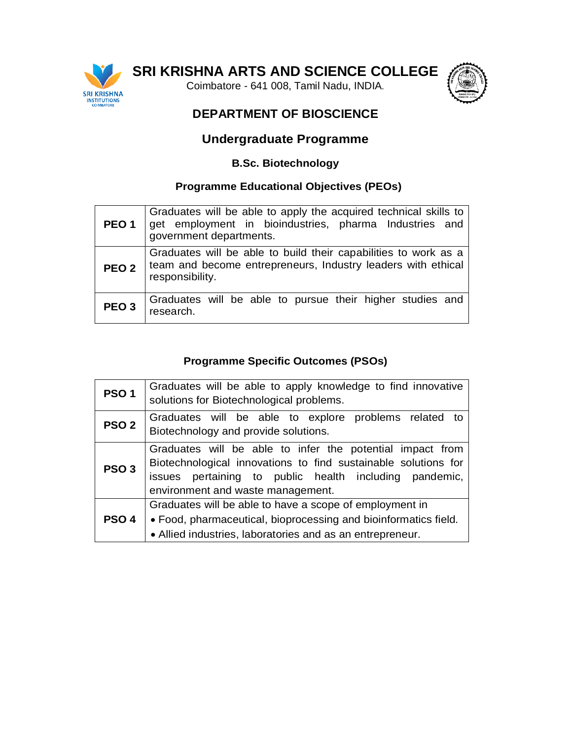

Coimbatore - 641 008, Tamil Nadu, INDIA.



## **DEPARTMENT OF BIOSCIENCE**

## **Undergraduate Programme**

#### **B.Sc. Biotechnology**

#### **Programme Educational Objectives (PEOs)**

| PEO <sub>1</sub> | Graduates will be able to apply the acquired technical skills to<br>get employment in bioindustries, pharma Industries and<br>government departments. |
|------------------|-------------------------------------------------------------------------------------------------------------------------------------------------------|
| PEO <sub>2</sub> | Graduates will be able to build their capabilities to work as a<br>team and become entrepreneurs, Industry leaders with ethical<br>responsibility.    |
| PEO <sub>3</sub> | Graduates will be able to pursue their higher studies and<br>research.                                                                                |

| PSO <sub>1</sub> | Graduates will be able to apply knowledge to find innovative<br>solutions for Biotechnological problems.                                                                                                                   |
|------------------|----------------------------------------------------------------------------------------------------------------------------------------------------------------------------------------------------------------------------|
| PSO <sub>2</sub> | Graduates will be able to explore problems related to<br>Biotechnology and provide solutions.                                                                                                                              |
| PSO <sub>3</sub> | Graduates will be able to infer the potential impact from<br>Biotechnological innovations to find sustainable solutions for<br>issues pertaining to public health including pandemic,<br>environment and waste management. |
| <b>PSO 4</b>     | Graduates will be able to have a scope of employment in<br>• Food, pharmaceutical, bioprocessing and bioinformatics field.<br>• Allied industries, laboratories and as an entrepreneur.                                    |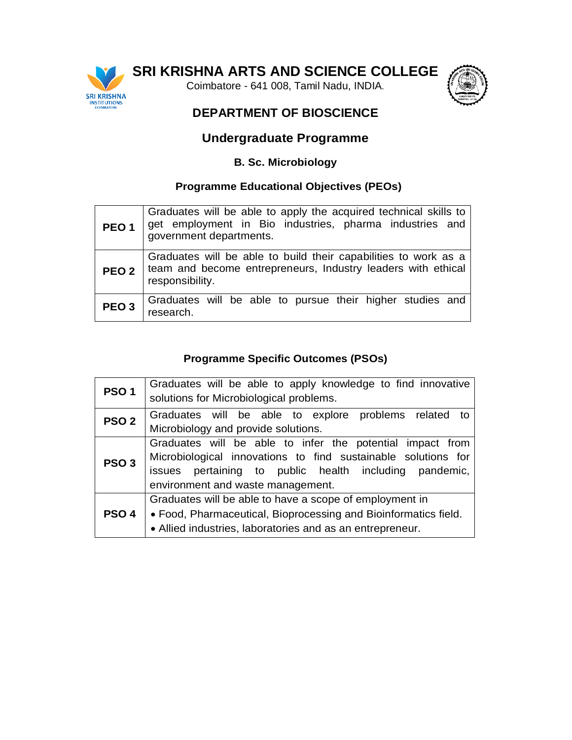**SRI KRISHNA** 

**SRI KRISHNA ARTS AND SCIENCE COLLEGE**

Coimbatore - 641 008, Tamil Nadu, INDIA.



## **DEPARTMENT OF BIOSCIENCE**

## **Undergraduate Programme**

#### **B. Sc. Microbiology**

#### **Programme Educational Objectives (PEOs)**

| PEO <sub>1</sub> | Graduates will be able to apply the acquired technical skills to<br>get employment in Bio industries, pharma industries and<br>government departments. |
|------------------|--------------------------------------------------------------------------------------------------------------------------------------------------------|
| PEO <sub>2</sub> | Graduates will be able to build their capabilities to work as a<br>team and become entrepreneurs, Industry leaders with ethical<br>responsibility.     |
| PEO <sub>3</sub> | Graduates will be able to pursue their higher studies and<br>research.                                                                                 |

| PSO <sub>1</sub> | Graduates will be able to apply knowledge to find innovative<br>solutions for Microbiological problems.                                                      |
|------------------|--------------------------------------------------------------------------------------------------------------------------------------------------------------|
| PSO <sub>2</sub> | Graduates will be able to explore problems related to<br>Microbiology and provide solutions.                                                                 |
| PSO <sub>3</sub> | Graduates will be able to infer the potential impact from                                                                                                    |
|                  | Microbiological innovations to find sustainable solutions for<br>issues pertaining to public health including pandemic,<br>environment and waste management. |
| PSO 4            | Graduates will be able to have a scope of employment in                                                                                                      |
|                  | • Food, Pharmaceutical, Bioprocessing and Bioinformatics field.                                                                                              |
|                  | • Allied industries, laboratories and as an entrepreneur.                                                                                                    |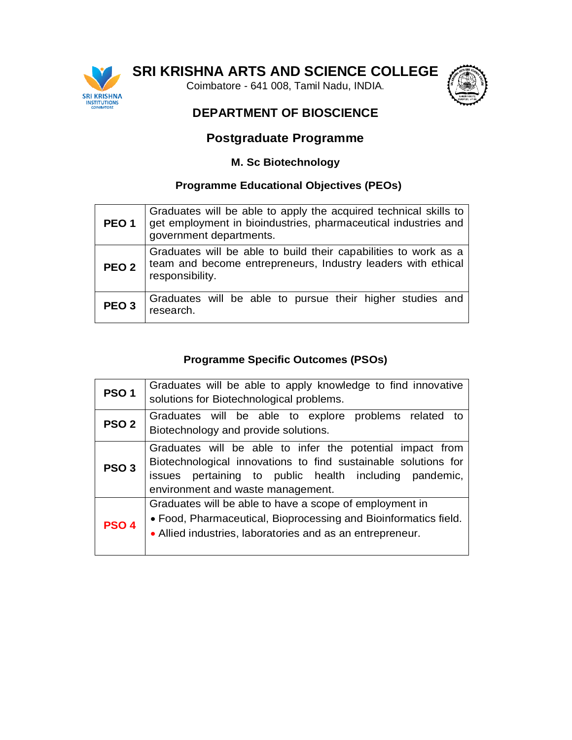

Coimbatore - 641 008, Tamil Nadu, INDIA.



## **DEPARTMENT OF BIOSCIENCE**

## **Postgraduate Programme**

#### **M. Sc Biotechnology**

#### **Programme Educational Objectives (PEOs)**

| PEO <sub>1</sub> | Graduates will be able to apply the acquired technical skills to<br>get employment in bioindustries, pharmaceutical industries and<br>government departments. |
|------------------|---------------------------------------------------------------------------------------------------------------------------------------------------------------|
| PEO <sub>2</sub> | Graduates will be able to build their capabilities to work as a<br>team and become entrepreneurs, Industry leaders with ethical<br>responsibility.            |
| PEO <sub>3</sub> | Graduates will be able to pursue their higher studies and<br>research.                                                                                        |

| PSO <sub>1</sub> | Graduates will be able to apply knowledge to find innovative<br>solutions for Biotechnological problems.                                                                                                                   |
|------------------|----------------------------------------------------------------------------------------------------------------------------------------------------------------------------------------------------------------------------|
| PSO <sub>2</sub> | Graduates will be able to explore problems related to<br>Biotechnology and provide solutions.                                                                                                                              |
| PSO <sub>3</sub> | Graduates will be able to infer the potential impact from<br>Biotechnological innovations to find sustainable solutions for<br>issues pertaining to public health including pandemic,<br>environment and waste management. |
| PSO <sub>4</sub> | Graduates will be able to have a scope of employment in<br>• Food, Pharmaceutical, Bioprocessing and Bioinformatics field.<br>• Allied industries, laboratories and as an entrepreneur.                                    |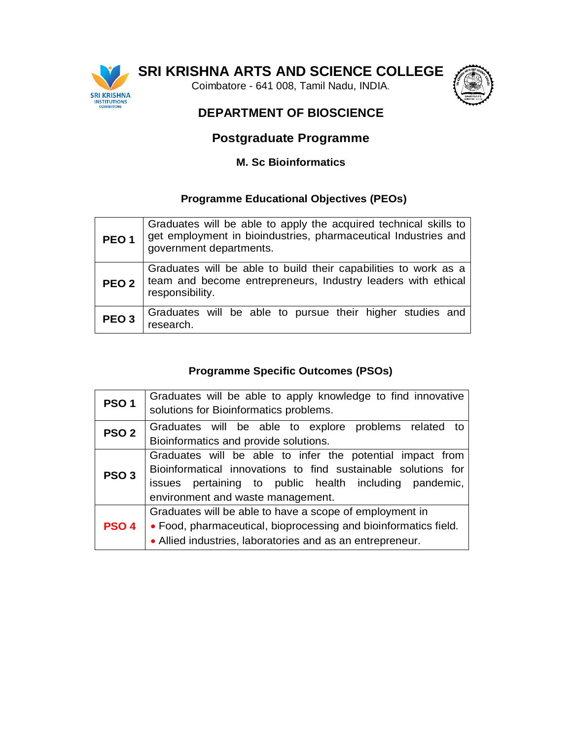**SRI KRISHNA**<br>INSTITUTIONS<br>COIMBATORE

**SRI KRISHNA ARTS AND SCIENCE COLLEGE**

Coimbatore - 641 008, Tamil Nadu, INDIA.



## **DEPARTMENT OF BIOSCIENCE**

## **Postgraduate Programme**

#### **M. Sc Bioinformatics**

#### **Programme Educational Objectives (PEOs)**

| PEO <sub>1</sub> | Graduates will be able to apply the acquired technical skills to<br>get employment in bioindustries, pharmaceutical Industries and<br>government departments. |
|------------------|---------------------------------------------------------------------------------------------------------------------------------------------------------------|
| PEO <sub>2</sub> | Graduates will be able to build their capabilities to work as a<br>team and become entrepreneurs, Industry leaders with ethical<br>responsibility.            |
| PEO <sub>3</sub> | Graduates will be able to pursue their higher studies and<br>research.                                                                                        |

| PSO <sub>1</sub> | Graduates will be able to apply knowledge to find innovative<br>solutions for Bioinformatics problems.                                                                                                                    |
|------------------|---------------------------------------------------------------------------------------------------------------------------------------------------------------------------------------------------------------------------|
| PSO <sub>2</sub> | Graduates will be able to explore problems related to<br>Bioinformatics and provide solutions.                                                                                                                            |
| PSO <sub>3</sub> | Graduates will be able to infer the potential impact from<br>Bioinformatical innovations to find sustainable solutions for<br>issues pertaining to public health including pandemic,<br>environment and waste management. |
| <b>PSO 4</b>     | Graduates will be able to have a scope of employment in<br>• Food, pharmaceutical, bioprocessing and bioinformatics field.<br>• Allied industries, laboratories and as an entrepreneur.                                   |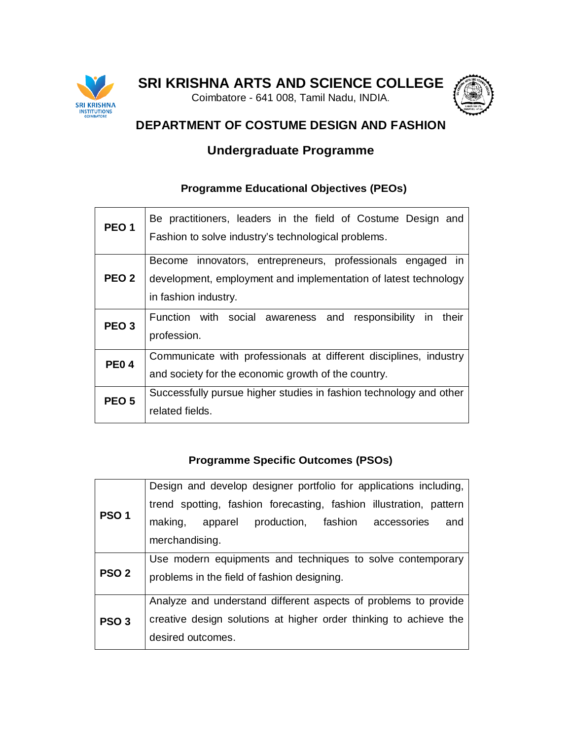

Coimbatore - 641 008, Tamil Nadu, INDIA.



# **DEPARTMENT OF COSTUME DESIGN AND FASHION**

# **Undergraduate Programme**

## **Programme Educational Objectives (PEOs)**

| PEO <sub>1</sub> | Be practitioners, leaders in the field of Costume Design and<br>Fashion to solve industry's technological problems.                                      |
|------------------|----------------------------------------------------------------------------------------------------------------------------------------------------------|
| PEO <sub>2</sub> | innovators, entrepreneurs, professionals engaged in<br>Become<br>development, employment and implementation of latest technology<br>in fashion industry. |
| PEO <sub>3</sub> | Function with social awareness and<br>responsibility in<br>their<br>profession.                                                                          |
| <b>PE04</b>      | Communicate with professionals at different disciplines, industry<br>and society for the economic growth of the country.                                 |
| PEO <sub>5</sub> | Successfully pursue higher studies in fashion technology and other<br>related fields.                                                                    |

|                  | Design and develop designer portfolio for applications including,  |
|------------------|--------------------------------------------------------------------|
|                  | trend spotting, fashion forecasting, fashion illustration, pattern |
| PSO <sub>1</sub> | making, apparel production, fashion accessories<br>and             |
|                  | merchandising.                                                     |
| PSO <sub>2</sub> | Use modern equipments and techniques to solve contemporary         |
|                  | problems in the field of fashion designing.                        |
| PSO <sub>3</sub> | Analyze and understand different aspects of problems to provide    |
|                  | creative design solutions at higher order thinking to achieve the  |
|                  | desired outcomes.                                                  |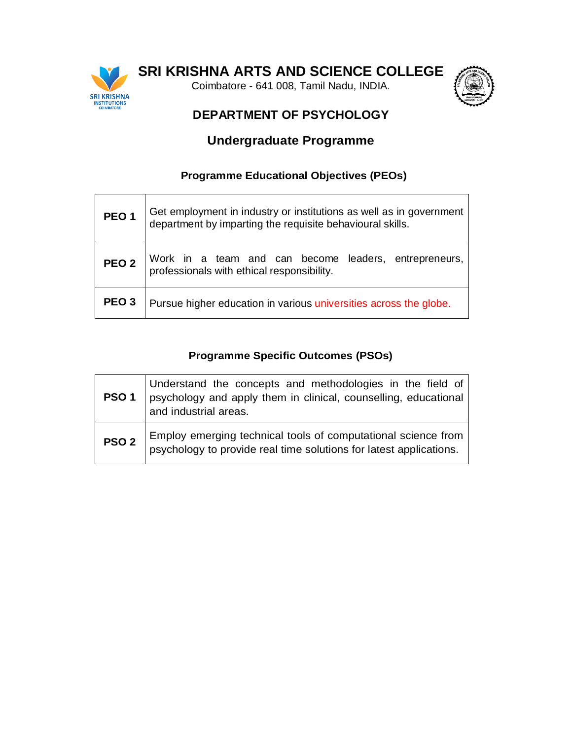

Coimbatore - 641 008, Tamil Nadu, INDIA.



# **DEPARTMENT OF PSYCHOLOGY**

# **Undergraduate Programme**

#### **Programme Educational Objectives (PEOs)**

| PEO <sub>1</sub> | Get employment in industry or institutions as well as in government<br>department by imparting the requisite behavioural skills. |
|------------------|----------------------------------------------------------------------------------------------------------------------------------|
| PEO <sub>2</sub> | Work in a team and can become leaders, entrepreneurs,<br>professionals with ethical responsibility.                              |
| PEO <sub>3</sub> | Pursue higher education in various universities across the globe.                                                                |

| PSO <sub>1</sub> | Understand the concepts and methodologies in the field of<br>psychology and apply them in clinical, counselling, educational<br>and industrial areas. |
|------------------|-------------------------------------------------------------------------------------------------------------------------------------------------------|
| PSO <sub>2</sub> | Employ emerging technical tools of computational science from<br>psychology to provide real time solutions for latest applications.                   |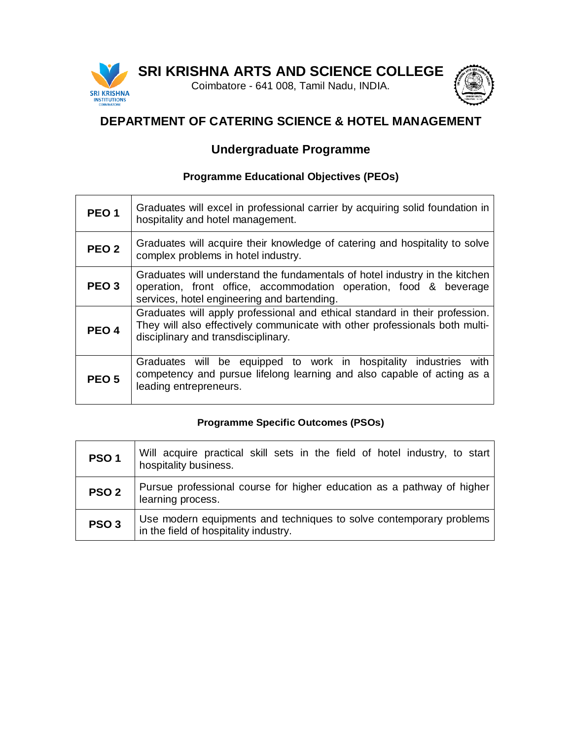

Coimbatore - 641 008, Tamil Nadu, INDIA.



# **DEPARTMENT OF CATERING SCIENCE & HOTEL MANAGEMENT**

# **Undergraduate Programme**

### **Programme Educational Objectives (PEOs)**

| PEO <sub>1</sub> | Graduates will excel in professional carrier by acquiring solid foundation in<br>hospitality and hotel management.                                                                                |
|------------------|---------------------------------------------------------------------------------------------------------------------------------------------------------------------------------------------------|
| PEO <sub>2</sub> | Graduates will acquire their knowledge of catering and hospitality to solve<br>complex problems in hotel industry.                                                                                |
| PEO <sub>3</sub> | Graduates will understand the fundamentals of hotel industry in the kitchen<br>operation, front office, accommodation operation, food & beverage<br>services, hotel engineering and bartending.   |
| PEO <sub>4</sub> | Graduates will apply professional and ethical standard in their profession.<br>They will also effectively communicate with other professionals both multi-<br>disciplinary and transdisciplinary. |
| PEO <sub>5</sub> | Graduates will be equipped to work in hospitality industries<br>with<br>competency and pursue lifelong learning and also capable of acting as a<br>leading entrepreneurs.                         |

| PSO <sub>1</sub> | Will acquire practical skill sets in the field of hotel industry, to start<br>hospitality business.          |
|------------------|--------------------------------------------------------------------------------------------------------------|
| PSO <sub>2</sub> | Pursue professional course for higher education as a pathway of higher<br>learning process.                  |
| PSO <sub>3</sub> | Use modern equipments and techniques to solve contemporary problems<br>in the field of hospitality industry. |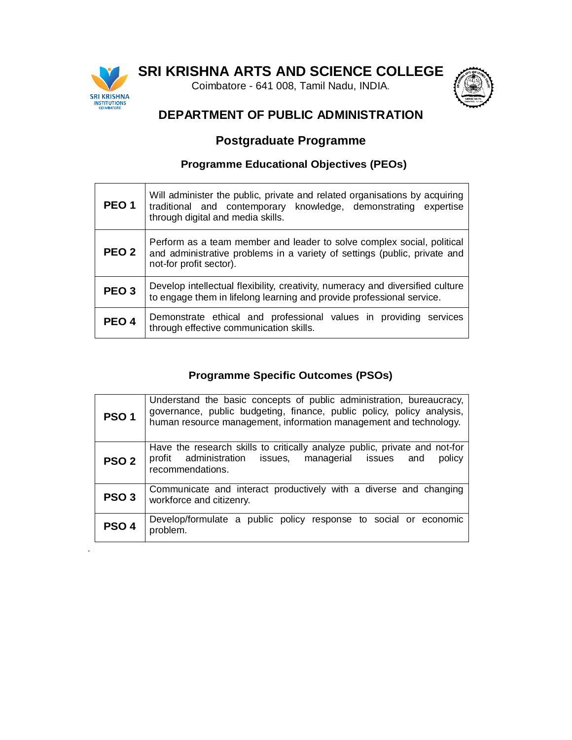

.

**SRI KRISHNA ARTS AND SCIENCE COLLEGE**

Coimbatore - 641 008, Tamil Nadu, INDIA.



# **DEPARTMENT OF PUBLIC ADMINISTRATION**

## **Postgraduate Programme**

### **Programme Educational Objectives (PEOs)**

| PEO <sub>1</sub> | Will administer the public, private and related organisations by acquiring<br>traditional and contemporary knowledge, demonstrating expertise<br>through digital and media skills. |
|------------------|------------------------------------------------------------------------------------------------------------------------------------------------------------------------------------|
| <b>PEO 2</b>     | Perform as a team member and leader to solve complex social, political<br>and administrative problems in a variety of settings (public, private and<br>not-for profit sector).     |
| PEO <sub>3</sub> | Develop intellectual flexibility, creativity, numeracy and diversified culture<br>to engage them in lifelong learning and provide professional service.                            |
| PEO <sub>4</sub> | Demonstrate ethical and professional values in providing services<br>through effective communication skills.                                                                       |

| PSO <sub>1</sub> | Understand the basic concepts of public administration, bureaucracy,<br>governance, public budgeting, finance, public policy, policy analysis,<br>human resource management, information management and technology. |
|------------------|---------------------------------------------------------------------------------------------------------------------------------------------------------------------------------------------------------------------|
| <b>PSO 2</b>     | Have the research skills to critically analyze public, private and not-for<br>administration issues, managerial issues<br>policy<br>profit<br>and<br>recommendations.                                               |
| PSO <sub>3</sub> | Communicate and interact productively with a diverse and changing<br>workforce and citizenry.                                                                                                                       |
| PSO <sub>4</sub> | Develop/formulate a public policy response to social or economic<br>problem.                                                                                                                                        |